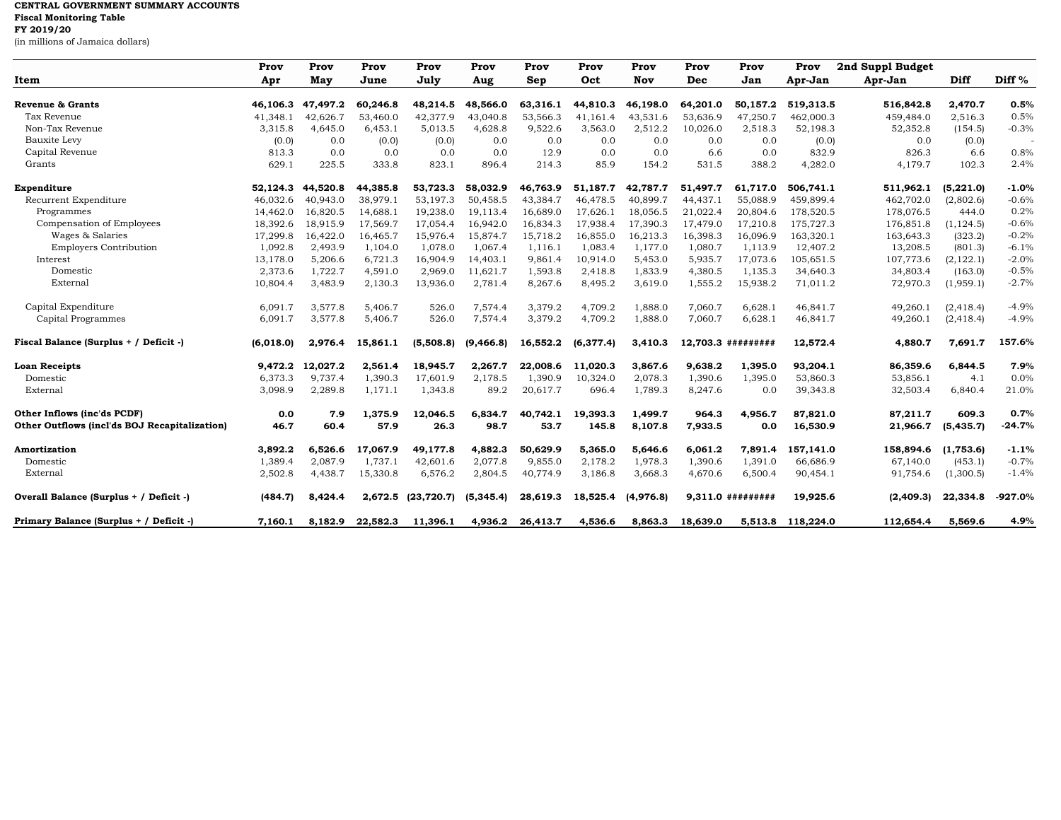## **CENTRAL GOVERNMENT SUMMARY ACCOUNTS Fiscal Monitoring Table FY 2019/20**

(in millions of Jamaica dollars)

|                                               | Prov      | Prov     | Prov     | Prov        | Prov       | Prov     | Prov      | Prov      | Prov     | Prov                | Prov      | 2nd Suppl Budget |            |                   |
|-----------------------------------------------|-----------|----------|----------|-------------|------------|----------|-----------|-----------|----------|---------------------|-----------|------------------|------------|-------------------|
| Item                                          | Apr       | May      | June     | July        | Aug        | Sep      | Oct       | Nov       | Dec      | Jan                 | Apr-Jan   | Apr-Jan          | Diff       | Diff <sup>%</sup> |
| <b>Revenue &amp; Grants</b>                   | 46,106.3  | 47,497.2 | 60,246.8 | 48,214.5    | 48,566.0   | 63,316.1 | 44,810.3  | 46,198.0  | 64,201.0 | 50,157.2            | 519,313.5 | 516,842.8        | 2,470.7    | 0.5%              |
| Tax Revenue                                   | 41,348.1  | 42,626.7 | 53,460.0 | 42,377.9    | 43,040.8   | 53,566.3 | 41,161.4  | 43,531.6  | 53,636.9 | 47,250.7            | 462,000.3 | 459,484.0        | 2,516.3    | 0.5%              |
| Non-Tax Revenue                               | 3,315.8   | 4,645.0  | 6,453.1  | 5,013.5     | 4,628.8    | 9,522.6  | 3,563.0   | 2,512.2   | 10,026.0 | 2,518.3             | 52,198.3  | 52,352.8         | (154.5)    | $-0.3%$           |
| Bauxite Levy                                  | (0.0)     | 0.0      | (0.0)    | (0.0)       | 0.0        | 0.0      | 0.0       | 0.0       | 0.0      | 0.0                 | (0.0)     | 0.0              | (0.0)      |                   |
| Capital Revenue                               | 813.3     | 0.0      | 0.0      | 0.0         | 0.0        | 12.9     | 0.0       | 0.0       | 6.6      | 0.0                 | 832.9     | 826.3            | 6.6        | 0.8%              |
| Grants                                        | 629.1     | 225.5    | 333.8    | 823.1       | 896.4      | 214.3    | 85.9      | 154.2     | 531.5    | 388.2               | 4,282.0   | 4,179.7          | 102.3      | 2.4%              |
| Expenditure                                   | 52,124.3  | 44,520.8 | 44,385.8 | 53,723.3    | 58,032.9   | 46,763.9 | 51,187.7  | 42,787.7  | 51,497.7 | 61,717.0            | 506,741.1 | 511,962.1        | (5,221.0)  | $-1.0%$           |
| Recurrent Expenditure                         | 46,032.6  | 40,943.0 | 38,979.1 | 53,197.3    | 50,458.5   | 43,384.7 | 46,478.5  | 40,899.7  | 44,437.1 | 55,088.9            | 459,899.4 | 462,702.0        | (2,802.6)  | $-0.6%$           |
| Programmes                                    | 14,462.0  | 16.820.5 | 14,688.1 | 19,238.0    | 19,113.4   | 16,689.0 | 17,626.1  | 18.056.5  | 21,022.4 | 20.804.6            | 178,520.5 | 178,076.5        | 444.0      | 0.2%              |
| Compensation of Employees                     | 18,392.6  | 18,915.9 | 17,569.7 | 17,054.4    | 16,942.0   | 16,834.3 | 17,938.4  | 17,390.3  | 17,479.0 | 17,210.8            | 175,727.3 | 176,851.8        | (1, 124.5) | $-0.6%$           |
| Wages & Salaries                              | 17,299.8  | 16,422.0 | 16,465.7 | 15,976.4    | 15,874.7   | 15,718.2 | 16,855.0  | 16,213.3  | 16,398.3 | 16,096.9            | 163,320.1 | 163,643.3        | (323.2)    | $-0.2%$           |
| <b>Employers Contribution</b>                 | 1,092.8   | 2,493.9  | 1,104.0  | 1,078.0     | 1,067.4    | 1,116.1  | 1,083.4   | 1,177.0   | 1,080.7  | 1,113.9             | 12,407.2  | 13,208.5         | (801.3)    | $-6.1%$           |
| Interest                                      | 13,178.0  | 5,206.6  | 6,721.3  | 16,904.9    | 14,403.1   | 9,861.4  | 10,914.0  | 5,453.0   | 5,935.7  | 17,073.6            | 105,651.5 | 107,773.6        | (2, 122.1) | $-2.0%$           |
| Domestic                                      | 2,373.6   | 1,722.7  | 4,591.0  | 2,969.0     | 11,621.7   | 1,593.8  | 2,418.8   | 1,833.9   | 4,380.5  | 1,135.3             | 34,640.3  | 34,803.4         | (163.0)    | $-0.5%$           |
| External                                      | 10,804.4  | 3,483.9  | 2,130.3  | 13,936.0    | 2,781.4    | 8,267.6  | 8,495.2   | 3,619.0   | 1,555.2  | 15,938.2            | 71,011.2  | 72,970.3         | (1,959.1)  | $-2.7%$           |
| Capital Expenditure                           | 6,091.7   | 3,577.8  | 5,406.7  | 526.0       | 7,574.4    | 3,379.2  | 4,709.2   | 1,888.0   | 7,060.7  | 6,628.1             | 46,841.7  | 49,260.1         | (2, 418.4) | $-4.9%$           |
| Capital Programmes                            | 6,091.7   | 3,577.8  | 5,406.7  | 526.0       | 7,574.4    | 3,379.2  | 4,709.2   | 1,888.0   | 7,060.7  | 6,628.1             | 46,841.7  | 49,260.1         | (2, 418.4) | $-4.9%$           |
| Fiscal Balance (Surplus + / Deficit -)        | (6,018.0) | 2,976.4  | 15,861.1 | (5,508.8)   | (9, 466.8) | 16,552.2 | (6,377.4) | 3,410.3   |          | 12,703.3 #########  | 12,572.4  | 4,880.7          | 7,691.7    | 157.6%            |
| <b>Loan Receipts</b>                          | 9,472.2   | 12,027.2 | 2,561.4  | 18,945.7    | 2,267.7    | 22,008.6 | 11,020.3  | 3,867.6   | 9,638.2  | 1,395.0             | 93,204.1  | 86,359.6         | 6,844.5    | 7.9%              |
| Domestic                                      | 6,373.3   | 9,737.4  | 1,390.3  | 17,601.9    | 2,178.5    | 1,390.9  | 10,324.0  | 2,078.3   | 1,390.6  | 1,395.0             | 53,860.3  | 53,856.1         | 4.1        | 0.0%              |
| External                                      | 3,098.9   | 2,289.8  | 1,171.1  | 1,343.8     | 89.2       | 20,617.7 | 696.4     | 1,789.3   | 8,247.6  | 0.0                 | 39,343.8  | 32,503.4         | 6,840.4    | 21.0%             |
| Other Inflows (inc'ds PCDF)                   | 0.0       | 7.9      | 1,375.9  | 12,046.5    | 6,834.7    | 40.742.1 | 19,393.3  | 1,499.7   | 964.3    | 4.956.7             | 87,821.0  | 87,211.7         | 609.3      | 0.7%              |
| Other Outflows (incl'ds BOJ Recapitalization) | 46.7      | 60.4     | 57.9     | 26.3        | 98.7       | 53.7     | 145.8     | 8,107.8   | 7,933.5  | 0.0                 | 16,530.9  | 21,966.7         | (5, 435.7) | $-24.7%$          |
| <b>Amortization</b>                           | 3,892.2   | 6,526.6  | 17,067.9 | 49,177.8    | 4,882.3    | 50,629.9 | 5,365.0   | 5,646.6   | 6,061.2  | 7,891.4             | 157,141.0 | 158,894.6        | (1,753.6)  | $-1.1%$           |
| Domestic                                      | 1,389.4   | 2,087.9  | 1,737.1  | 42,601.6    | 2,077.8    | 9,855.0  | 2,178.2   | 1,978.3   | 1,390.6  | 1,391.0             | 66,686.9  | 67,140.0         | (453.1)    | $-0.7%$           |
| External                                      | 2,502.8   | 4,438.7  | 15,330.8 | 6,576.2     | 2,804.5    | 40,774.9 | 3,186.8   | 3,668.3   | 4,670.6  | 6,500.4             | 90,454.1  | 91,754.6         | (1,300.5)  | $-1.4%$           |
| Overall Balance (Surplus + / Deficit -)       | (484.7)   | 8.424.4  | 2,672.5  | (23, 720.7) | (5, 345.4) | 28,619.3 | 18,525.4  | (4,976.8) |          | $9.311.0$ ######### | 19.925.6  | (2,409.3)        | 22,334.8   | $-927.0%$         |
| Primary Balance (Surplus + / Deficit -)       | 7.160.1   | 8,182.9  | 22,582.3 | 11.396.1    | 4,936.2    | 26.413.7 | 4.536.6   | 8.863.3   | 18,639.0 | 5.513.8             | 118,224.0 | 112,654.4        | 5.569.6    | 4.9%              |